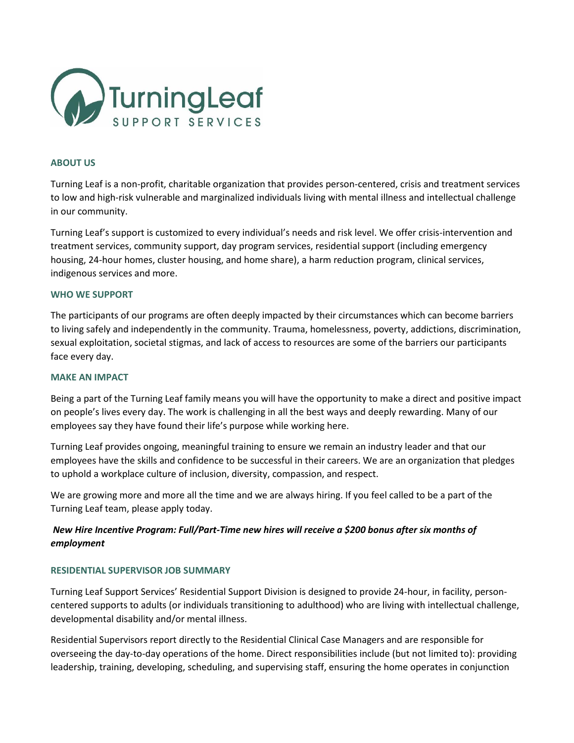

## **ABOUT US**

Turning Leaf is a non-profit, charitable organization that provides person-centered, crisis and treatment services to low and high-risk vulnerable and marginalized individuals living with mental illness and intellectual challenge in our community.

Turning Leaf's support is customized to every individual's needs and risk level. We offer crisis-intervention and treatment services, community support, day program services, residential support (including emergency housing, 24-hour homes, cluster housing, and home share), a harm reduction program, clinical services, indigenous services and more.

#### **WHO WE SUPPORT**

The participants of our programs are often deeply impacted by their circumstances which can become barriers to living safely and independently in the community. Trauma, homelessness, poverty, addictions, discrimination, sexual exploitation, societal stigmas, and lack of access to resources are some of the barriers our participants face every day.

#### **MAKE AN IMPACT**

Being a part of the Turning Leaf family means you will have the opportunity to make a direct and positive impact on people's lives every day. The work is challenging in all the best ways and deeply rewarding. Many of our employees say they have found their life's purpose while working here.

Turning Leaf provides ongoing, meaningful training to ensure we remain an industry leader and that our employees have the skills and confidence to be successful in their careers. We are an organization that pledges to uphold a workplace culture of inclusion, diversity, compassion, and respect.

We are growing more and more all the time and we are always hiring. If you feel called to be a part of the Turning Leaf team, please apply today.

# *New Hire Incentive Program: Full/Part-Time new hires will receive a \$200 bonus after six months of employment*

### **RESIDENTIAL SUPERVISOR JOB SUMMARY**

Turning Leaf Support Services' Residential Support Division is designed to provide 24-hour, in facility, personcentered supports to adults (or individuals transitioning to adulthood) who are living with intellectual challenge, developmental disability and/or mental illness.

Residential Supervisors report directly to the Residential Clinical Case Managers and are responsible for overseeing the day-to-day operations of the home. Direct responsibilities include (but not limited to): providing leadership, training, developing, scheduling, and supervising staff, ensuring the home operates in conjunction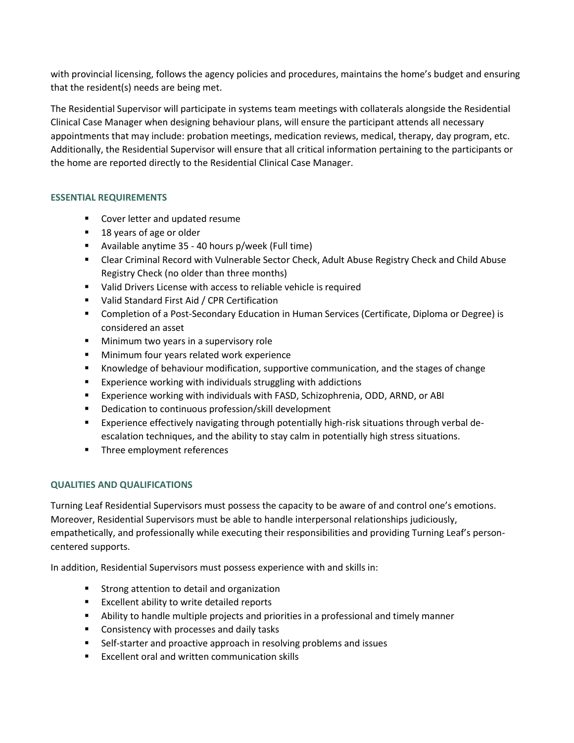with provincial licensing, follows the agency policies and procedures, maintains the home's budget and ensuring that the resident(s) needs are being met.

The Residential Supervisor will participate in systems team meetings with collaterals alongside the Residential Clinical Case Manager when designing behaviour plans, will ensure the participant attends all necessary appointments that may include: probation meetings, medication reviews, medical, therapy, day program, etc. Additionally, the Residential Supervisor will ensure that all critical information pertaining to the participants or the home are reported directly to the Residential Clinical Case Manager.

# **ESSENTIAL REQUIREMENTS**

- Cover letter and updated resume
- 18 years of age or older
- Available anytime 35 40 hours p/week (Full time)
- Clear Criminal Record with Vulnerable Sector Check, Adult Abuse Registry Check and Child Abuse Registry Check (no older than three months)
- Valid Drivers License with access to reliable vehicle is required
- Valid Standard First Aid / CPR Certification
- Completion of a Post-Secondary Education in Human Services (Certificate, Diploma or Degree) is considered an asset
- Minimum two years in a supervisory role
- Minimum four years related work experience
- Knowledge of behaviour modification, supportive communication, and the stages of change
- Experience working with individuals struggling with addictions
- Experience working with individuals with FASD, Schizophrenia, ODD, ARND, or ABI
- Dedication to continuous profession/skill development
- **Experience effectively navigating through potentially high-risk situations through verbal de**escalation techniques, and the ability to stay calm in potentially high stress situations.
- Three employment references

# **QUALITIES AND QUALIFICATIONS**

Turning Leaf Residential Supervisors must possess the capacity to be aware of and control one's emotions. Moreover, Residential Supervisors must be able to handle interpersonal relationships judiciously, empathetically, and professionally while executing their responsibilities and providing Turning Leaf's personcentered supports.

In addition, Residential Supervisors must possess experience with and skills in:

- Strong attention to detail and organization
- Excellent ability to write detailed reports
- **E** Ability to handle multiple projects and priorities in a professional and timely manner
- Consistency with processes and daily tasks
- Self-starter and proactive approach in resolving problems and issues
- Excellent oral and written communication skills